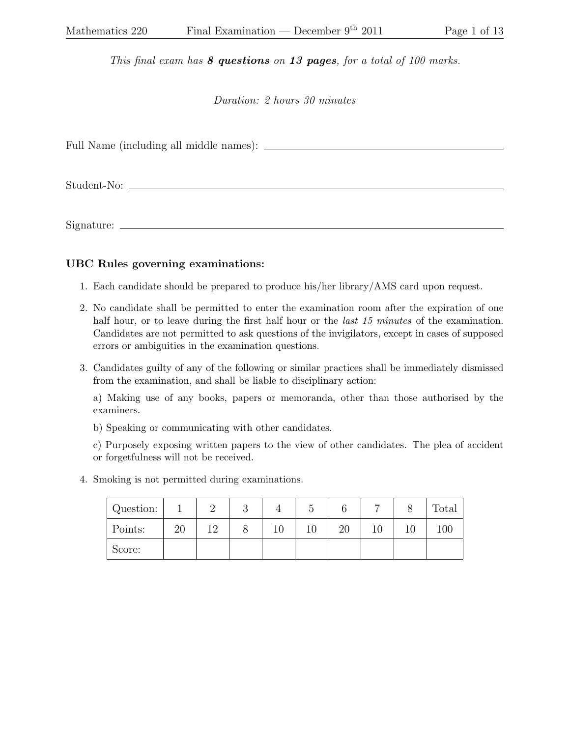This final exam has  $8$  questions on 13 pages, for a total of 100 marks.

Duration: 2 hours 30 minutes

Full Name (including all middle names):

Student-No:

Signature:

## UBC Rules governing examinations:

- 1. Each candidate should be prepared to produce his/her library/AMS card upon request.
- 2. No candidate shall be permitted to enter the examination room after the expiration of one half hour, or to leave during the first half hour or the *last 15 minutes* of the examination. Candidates are not permitted to ask questions of the invigilators, except in cases of supposed errors or ambiguities in the examination questions.
- 3. Candidates guilty of any of the following or similar practices shall be immediately dismissed from the examination, and shall be liable to disciplinary action:

a) Making use of any books, papers or memoranda, other than those authorised by the examiners.

b) Speaking or communicating with other candidates.

c) Purposely exposing written papers to the view of other candidates. The plea of accident or forgetfulness will not be received.

4. Smoking is not permitted during examinations.

| Question: |    |     | $\Omega$<br>U |    |    |    | Total |
|-----------|----|-----|---------------|----|----|----|-------|
| Points:   | 20 | 1 Ω |               | 10 | 20 | 10 | 100   |
| Score:    |    |     |               |    |    |    |       |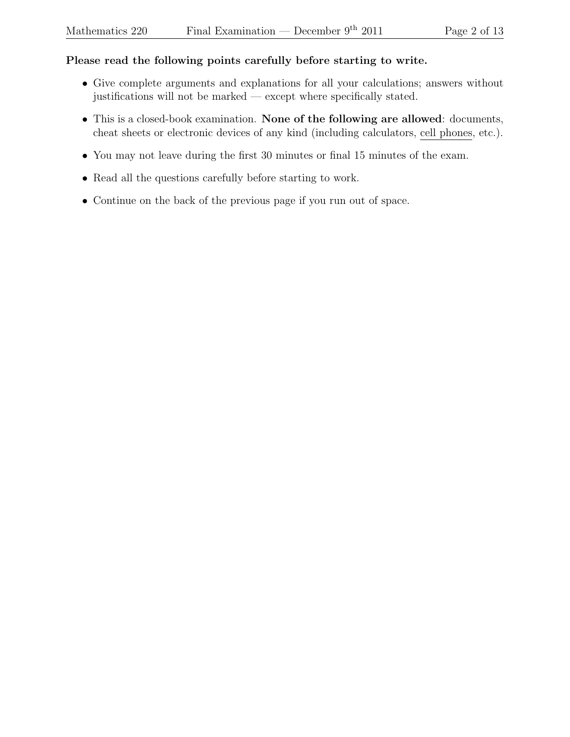## Please read the following points carefully before starting to write.

- Give complete arguments and explanations for all your calculations; answers without justifications will not be marked — except where specifically stated.
- This is a closed-book examination. None of the following are allowed: documents, cheat sheets or electronic devices of any kind (including calculators, cell phones, etc.).
- You may not leave during the first 30 minutes or final 15 minutes of the exam.
- Read all the questions carefully before starting to work.
- Continue on the back of the previous page if you run out of space.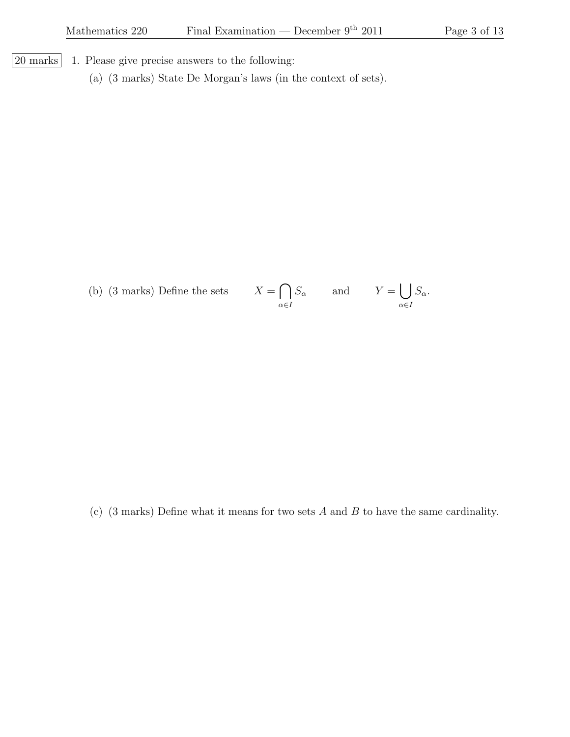$|20 \text{ marks}|$  1. Please give precise answers to the following:

(a) (3 marks) State De Morgan's laws (in the context of sets).

(b) (3 marks) Define the sets  $% \left\vert \cdot \right\rangle$  $\cap$  $\alpha \in I$  $S_{\alpha}$  and  $Y = \begin{bmatrix} \end{bmatrix}$  $\alpha \in I$  $S_{\alpha}$ .

(c) (3 marks) Define what it means for two sets A and B to have the same cardinality.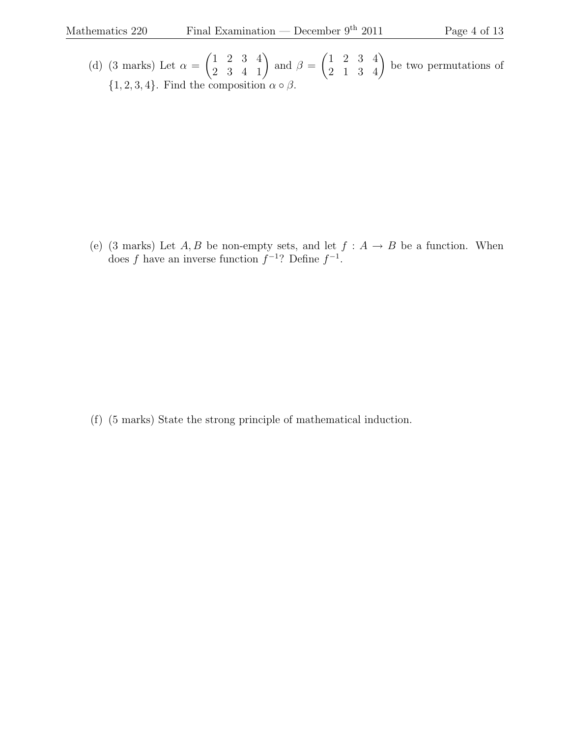(d) (3 marks) Let  $\alpha =$  $\begin{pmatrix} 1 & 2 & 3 & 4 \\ 2 & 3 & 4 & 1 \end{pmatrix}$  and  $\beta =$  $\begin{pmatrix} 1 & 2 & 3 & 4 \\ 2 & 1 & 3 & 4 \end{pmatrix}$  be two permutations of  $\{1, 2, 3, 4\}$ . Find the composition  $\alpha \circ \beta$ .

(e) (3 marks) Let  $A, B$  be non-empty sets, and let  $f : A \rightarrow B$  be a function. When does f have an inverse function  $f^{-1}$ ? Define  $f^{-1}$ .

(f) (5 marks) State the strong principle of mathematical induction.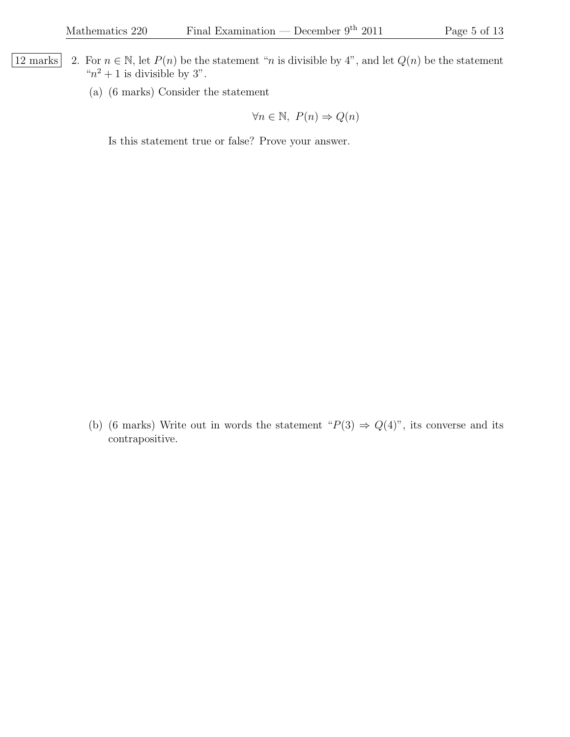- 12 marks 2. For  $n \in \mathbb{N}$ , let  $P(n)$  be the statement "*n* is divisible by 4", and let  $Q(n)$  be the statement " $n^2 + 1$  is divisible by 3".
	- (a) (6 marks) Consider the statement

$$
\forall n \in \mathbb{N}, \ P(n) \Rightarrow Q(n)
$$

Is this statement true or false? Prove your answer.

(b) (6 marks) Write out in words the statement " $P(3) \Rightarrow Q(4)$ ", its converse and its contrapositive.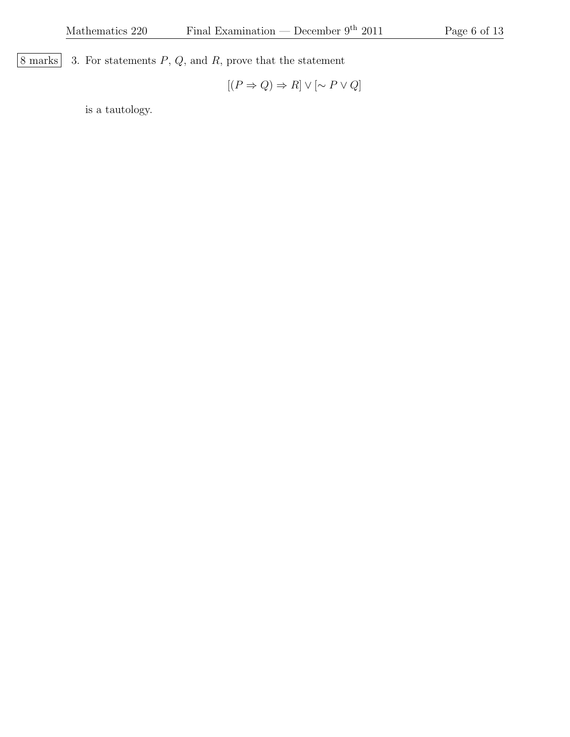$\boxed{8 \text{ marks}}$  3. For statements  $P$ ,  $Q$ , and  $R$ , prove that the statement

$$
[(P \Rightarrow Q) \Rightarrow R] \vee [\sim P \vee Q]
$$

is a tautology.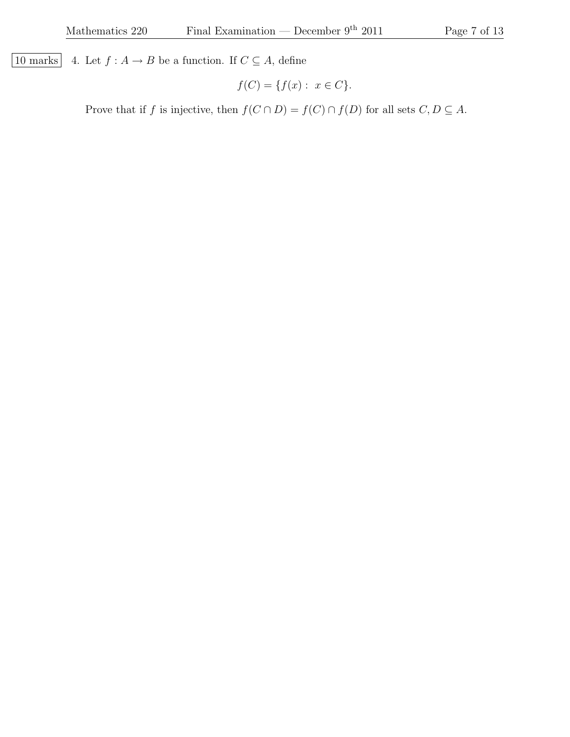10 marks 4. Let  $f : A \to B$  be a function. If  $C \subseteq A$ , define

$$
f(C) = \{ f(x) : x \in C \}.
$$

Prove that if f is injective, then  $f(C \cap D) = f(C) \cap f(D)$  for all sets  $C, D \subseteq A$ .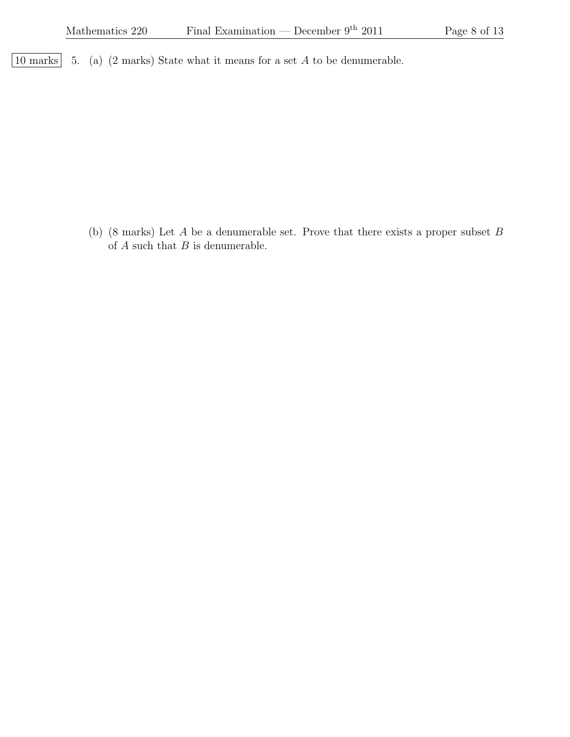$\boxed{10 \text{ marks}}$  5. (a) (2 marks) State what it means for a set A to be denumerable.

(b) (8 marks) Let  $A$  be a denumerable set. Prove that there exists a proper subset  $B$ of  $A$  such that  $B$  is denumerable.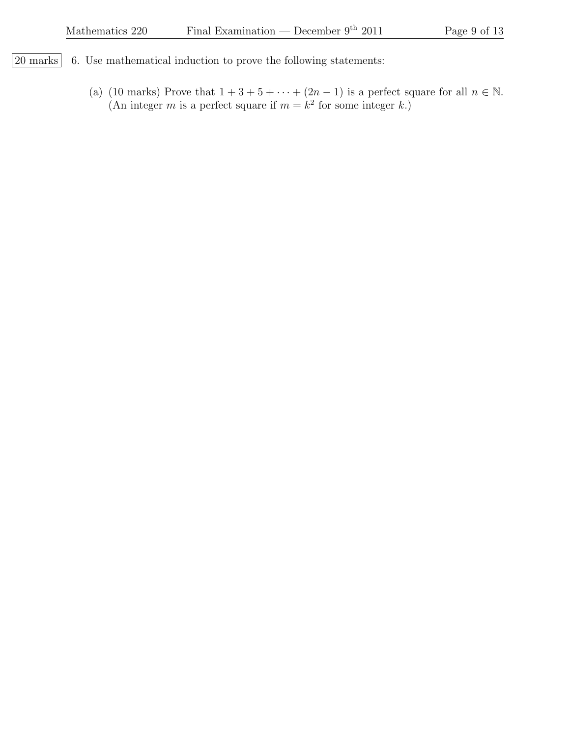- $\boxed{20 \text{ marks}}$  6. Use mathematical induction to prove the following statements:
	- (a) (10 marks) Prove that  $1 + 3 + 5 + \cdots + (2n 1)$  is a perfect square for all  $n \in \mathbb{N}$ . (An integer m is a perfect square if  $m = k^2$  for some integer k.)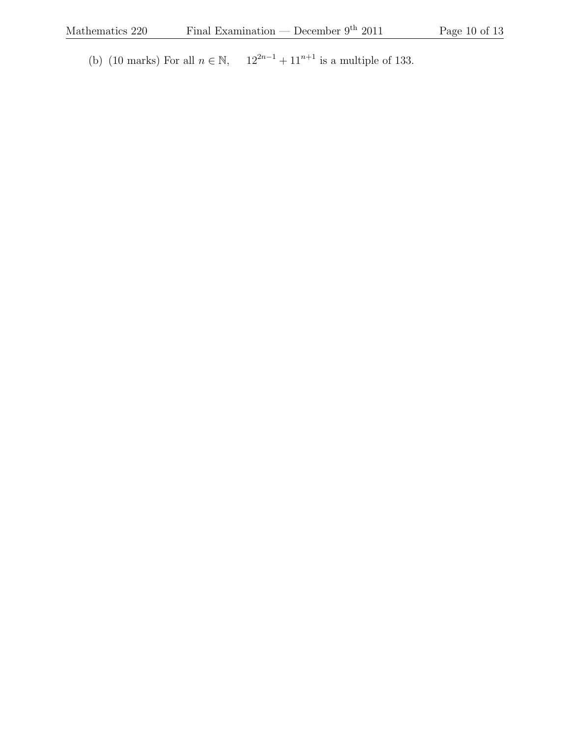(b) (10 marks) For all  $n \in \mathbb{N}$ ,  $12^{2n-1} + 11^{n+1}$  is a multiple of 133.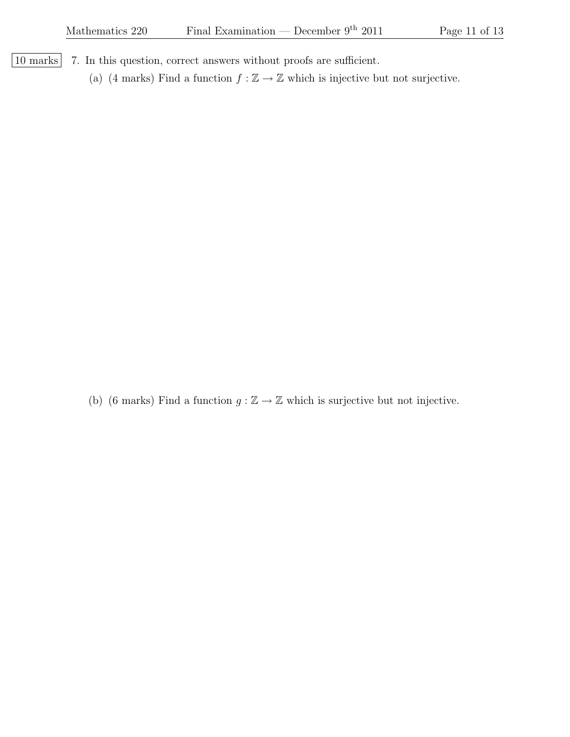- | 10 marks | 7. In this question, correct answers without proofs are sufficient.
	- (a) (4 marks) Find a function  $f : \mathbb{Z} \to \mathbb{Z}$  which is injective but not surjective.

(b) (6 marks) Find a function  $g : \mathbb{Z} \to \mathbb{Z}$  which is surjective but not injective.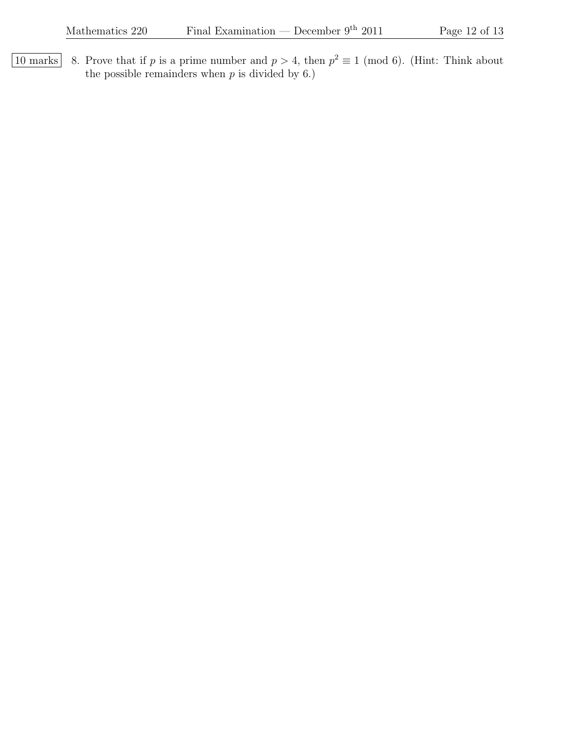10 marks 8. Prove that if p is a prime number and  $p > 4$ , then  $p^2 \equiv 1 \pmod{6}$ . (Hint: Think about the possible remainders when  $p$  is divided by 6.)